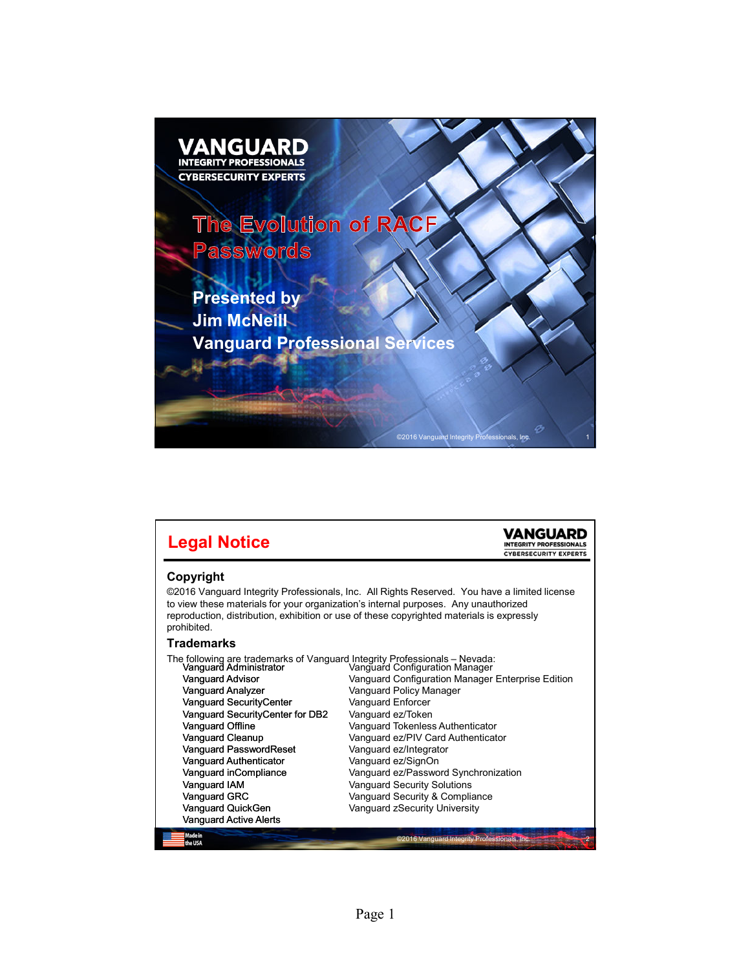

| <b>Legal Notice</b>                                                                                                                                                                                                                                                                                                                                                                                                                                                        |                                                                                                                                                                                                                                                                                                                                                                                                   |                              |
|----------------------------------------------------------------------------------------------------------------------------------------------------------------------------------------------------------------------------------------------------------------------------------------------------------------------------------------------------------------------------------------------------------------------------------------------------------------------------|---------------------------------------------------------------------------------------------------------------------------------------------------------------------------------------------------------------------------------------------------------------------------------------------------------------------------------------------------------------------------------------------------|------------------------------|
| Copyright<br>©2016 Vanguard Integrity Professionals, Inc. All Rights Reserved. You have a limited license<br>to view these materials for your organization's internal purposes. Any unauthorized<br>reproduction, distribution, exhibition or use of these copyrighted materials is expressly<br>prohibited.                                                                                                                                                               |                                                                                                                                                                                                                                                                                                                                                                                                   | <b>CYBERSECURITY EXPERTS</b> |
| Trademarks                                                                                                                                                                                                                                                                                                                                                                                                                                                                 |                                                                                                                                                                                                                                                                                                                                                                                                   |                              |
| The following are trademarks of Vanguard Integrity Professionals - Nevada:<br>Vanguard Administrator Manguard Configuration Manager<br><b>Vanguard Advisor</b><br>Vanguard Analyzer<br>Vanguard SecurityCenter<br>Vanguard SecurityCenter for DB2<br>Vanguard Offline<br><b>Vanquard Cleanup</b><br>Vanguard PasswordReset<br><b>Vanquard Authenticator</b><br>Vanguard inCompliance<br>Vanquard IAM<br>Vanguard GRC<br>Vanguard QuickGen<br><b>Vanguard Active Alerts</b> | Vanguard Configuration Manager Enterprise Edition<br>Vanguard Policy Manager<br>Vanguard Enforcer<br>Vanguard ez/Token<br>Vanguard Tokenless Authenticator<br>Vanquard ez/PIV Card Authenticator<br>Vanguard ez/Integrator<br>Vanguard ez/SignOn<br>Vanguard ez/Password Synchronization<br><b>Vanguard Security Solutions</b><br>Vanguard Security & Compliance<br>Vanguard zSecurity University |                              |
| Made in<br>the USA                                                                                                                                                                                                                                                                                                                                                                                                                                                         | ©2016 Vanquard Integrity Professionals, Inc.                                                                                                                                                                                                                                                                                                                                                      |                              |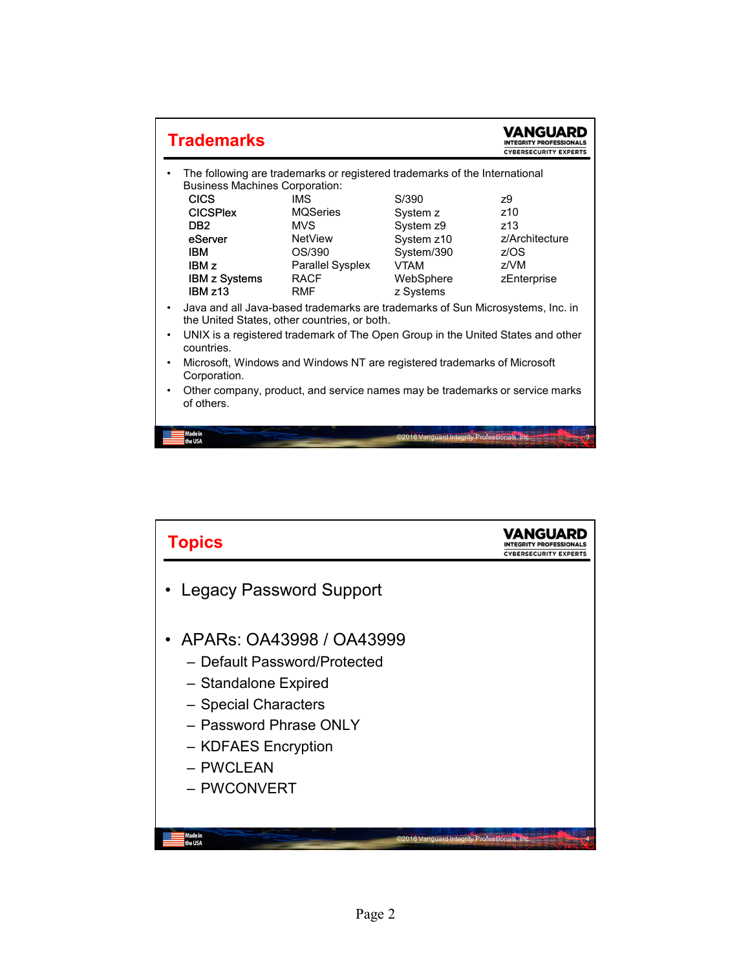| <b>Trademarks</b>                                                                                                              |                                                                            |                                              | <b>CYBERSECURITY EXPERTS</b> |
|--------------------------------------------------------------------------------------------------------------------------------|----------------------------------------------------------------------------|----------------------------------------------|------------------------------|
| <b>Business Machines Corporation:</b>                                                                                          | The following are trademarks or registered trademarks of the International |                                              |                              |
| <b>CICS</b>                                                                                                                    | <b>IMS</b>                                                                 | S/390                                        | 79                           |
| <b>CICSPIex</b>                                                                                                                | <b>MQSeries</b>                                                            | System z                                     | z10                          |
| D <sub>R2</sub>                                                                                                                | MVS                                                                        | System z9                                    | <b>z13</b>                   |
| eServer                                                                                                                        | <b>NetView</b>                                                             | System z10                                   | z/Architecture               |
| <b>IBM</b>                                                                                                                     | OS/390                                                                     | System/390                                   | z/OS                         |
| IBM <sub>z</sub>                                                                                                               | Parallel Sysplex                                                           | <b>VTAM</b>                                  | 7/NM                         |
| <b>IBM z Systems</b><br>IBM z13                                                                                                | <b>RACF</b><br><b>RMF</b>                                                  | WebSphere<br>z Systems                       | zEnterprise                  |
| Java and all Java-based trademarks are trademarks of Sun Microsystems, Inc. in<br>the United States, other countries, or both. |                                                                            |                                              |                              |
| UNIX is a registered trademark of The Open Group in the United States and other<br>countries.                                  |                                                                            |                                              |                              |
| Microsoft, Windows and Windows NT are registered trademarks of Microsoft<br>٠<br>Corporation.                                  |                                                                            |                                              |                              |
| Other company, product, and service names may be trademarks or service marks<br>of others.                                     |                                                                            |                                              |                              |
| Made in<br>the USA                                                                                                             |                                                                            | ©2016 Vanquard Integrity Professionals, Inc. |                              |

| <b>Topics</b>                                                                                                                                                                         | <b>CYBERSECURITY EXPERTS</b> |
|---------------------------------------------------------------------------------------------------------------------------------------------------------------------------------------|------------------------------|
| • Legacy Password Support                                                                                                                                                             |                              |
| APARS: 0A43998 / 0A43999<br>- Default Password/Protected<br>- Standalone Expired<br>- Special Characters<br>- Password Phrase ONLY<br>- KDFAES Encryption<br>- PWCLEAN<br>- PWCONVERT |                              |
| Made in<br>©2016 Vanquard Integrity Professionals, Inc.<br>the USA                                                                                                                    |                              |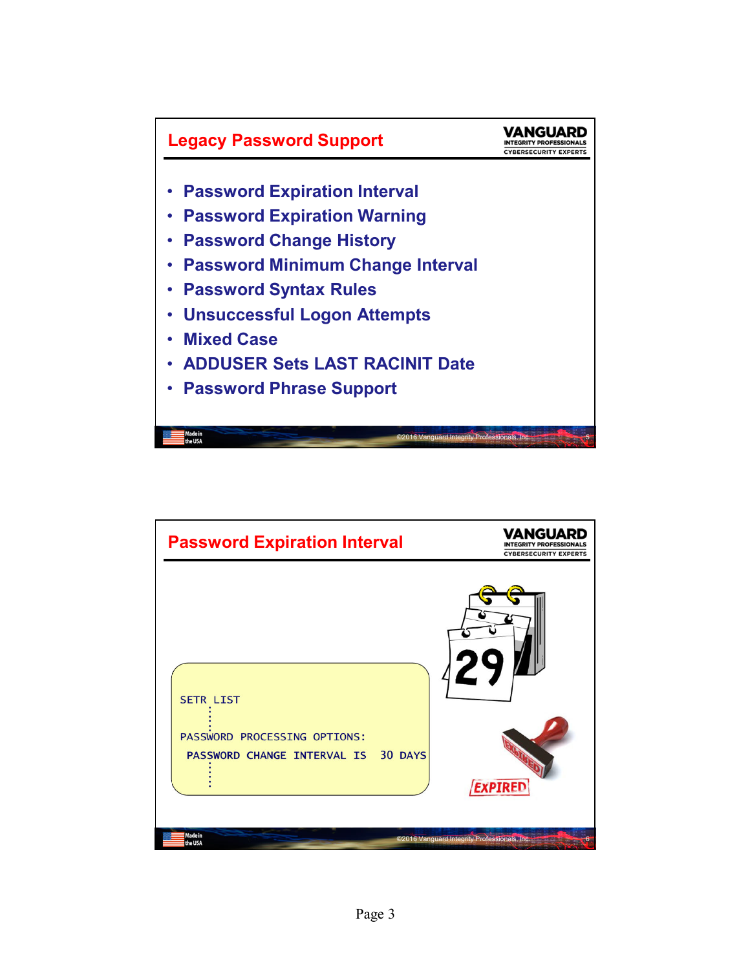

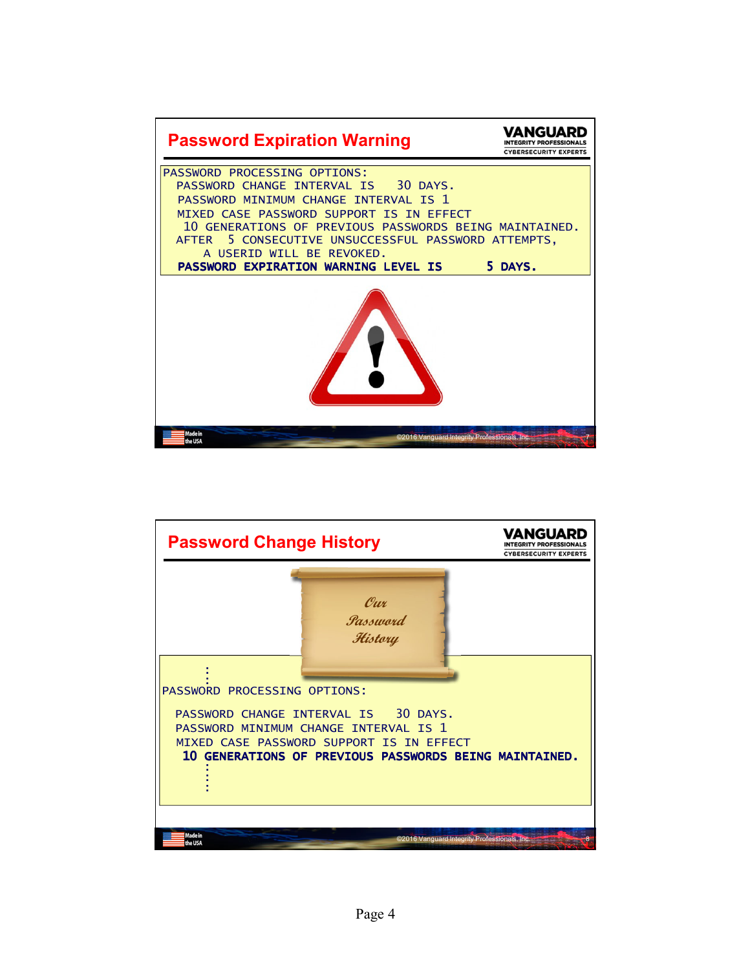

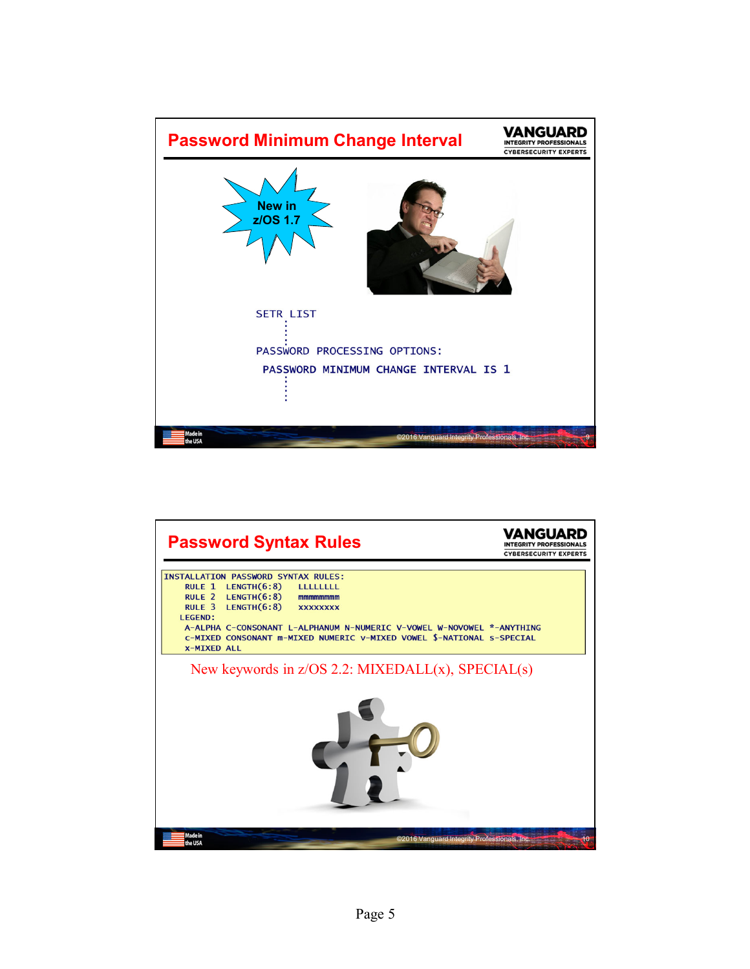

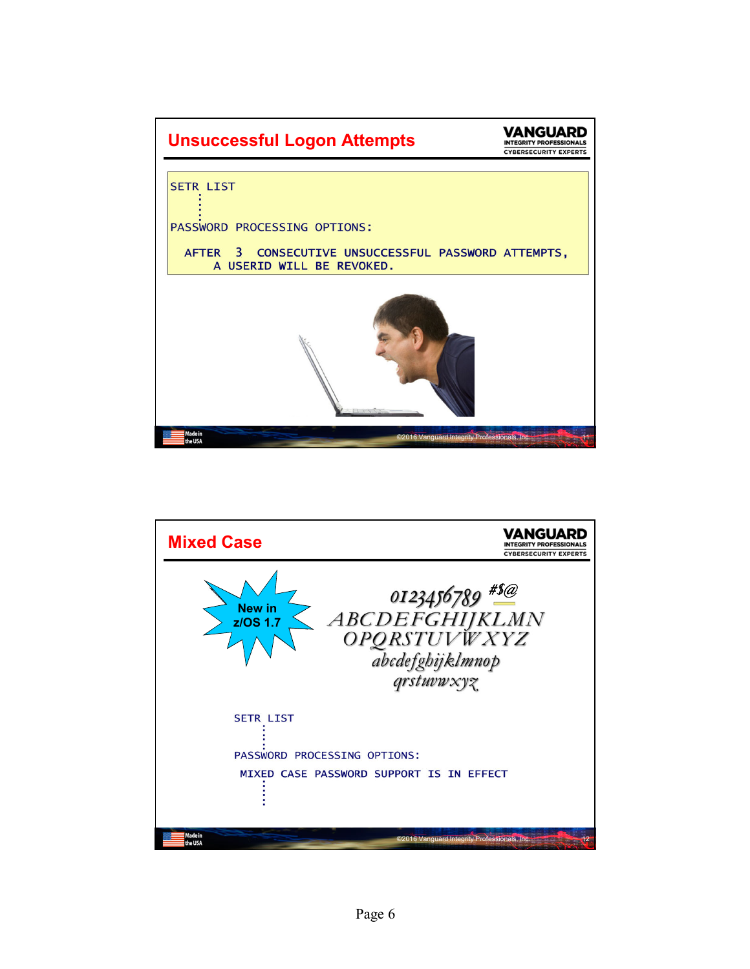

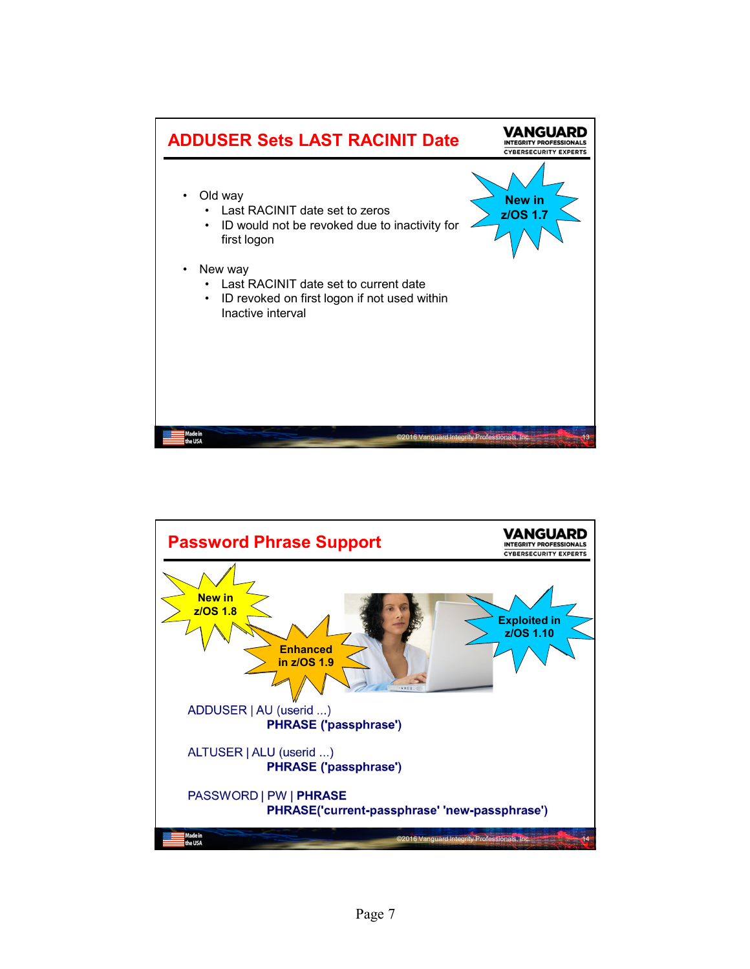

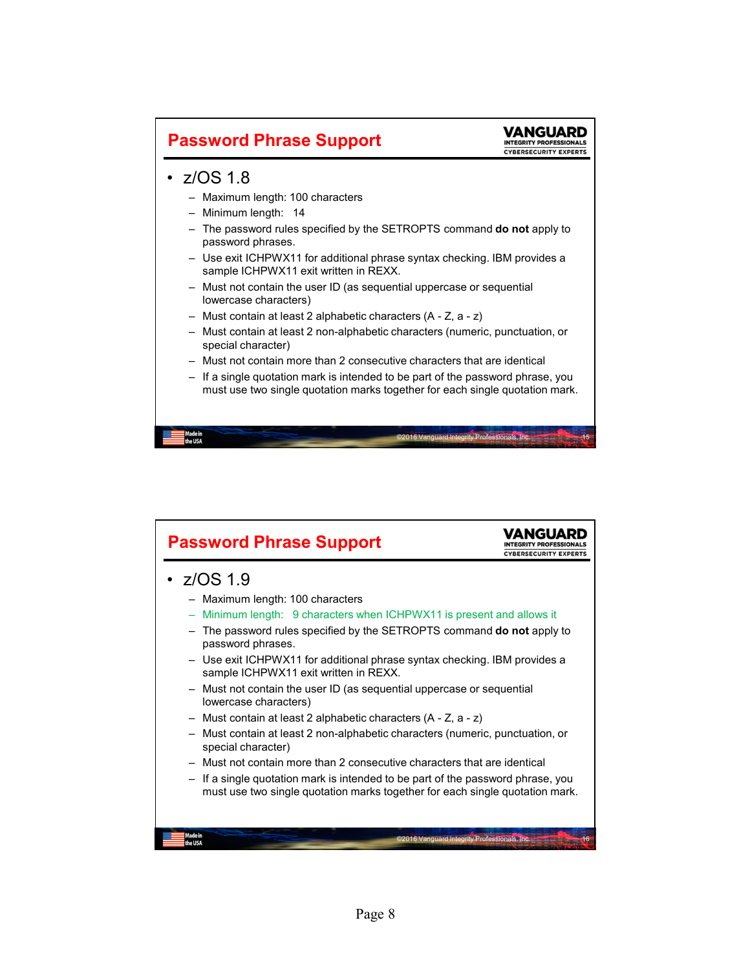

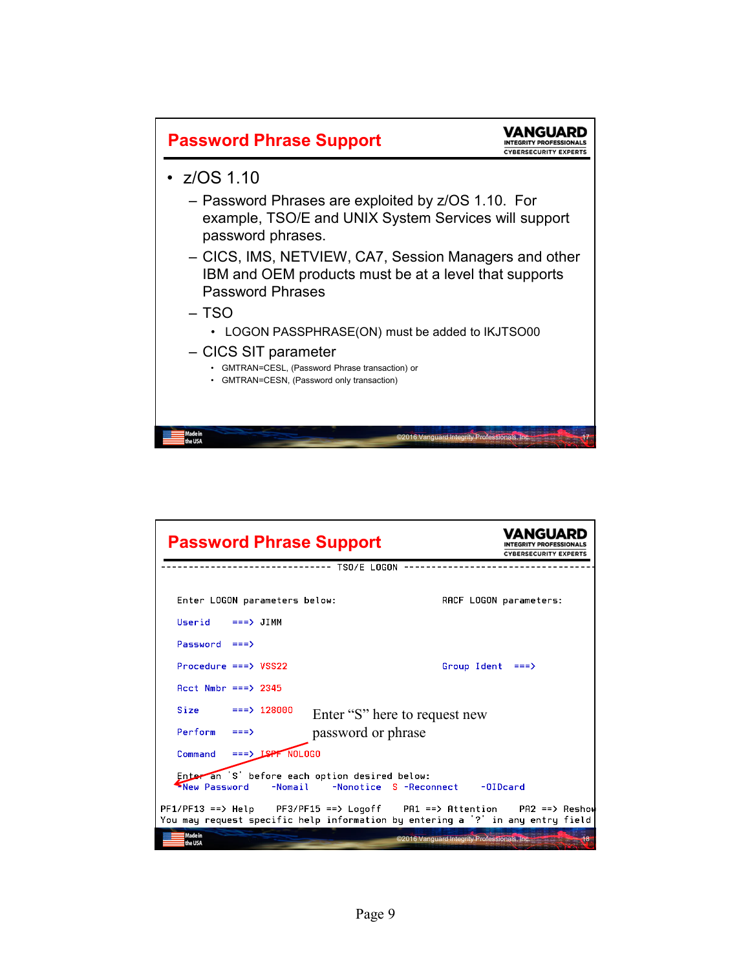

| <b>Password Phrase Support</b>                                                                                                                               | <b>CYBERSECURITY EXPERTS</b>                          |
|--------------------------------------------------------------------------------------------------------------------------------------------------------------|-------------------------------------------------------|
| TSO/E LOGON                                                                                                                                                  |                                                       |
| Enter LOGON parameters below:                                                                                                                                | RACF LOGON parameters:                                |
| $Userid$ ===> JIMM                                                                                                                                           |                                                       |
| $Password ===>$                                                                                                                                              |                                                       |
| Procedure ===> VSS22                                                                                                                                         | Group Ident<br>$==$                                   |
| $Acct$ Nmbr $==$ > 2345                                                                                                                                      |                                                       |
| Size<br>$==> 128000$<br>Enter "S" here to request new                                                                                                        |                                                       |
| Perform<br>password or phrase<br>$==$                                                                                                                        |                                                       |
| Command                                                                                                                                                      |                                                       |
| Enteran 'S' before each option desired below:<br>New Password<br>-Nomail<br>-Nonotice S -Reconnect                                                           | $-01$ Dcard                                           |
| $PF1/PF13 ==$ Help $PF3/PF15 ==$ Logoff PA1 == > Attention PA2 == > Reshou<br>You may request specific help information by entering a '?' in any entry field |                                                       |
| Made in<br>the USA                                                                                                                                           | ©2016 Vanquard Integrity Professionals, Inc.<br>$-48$ |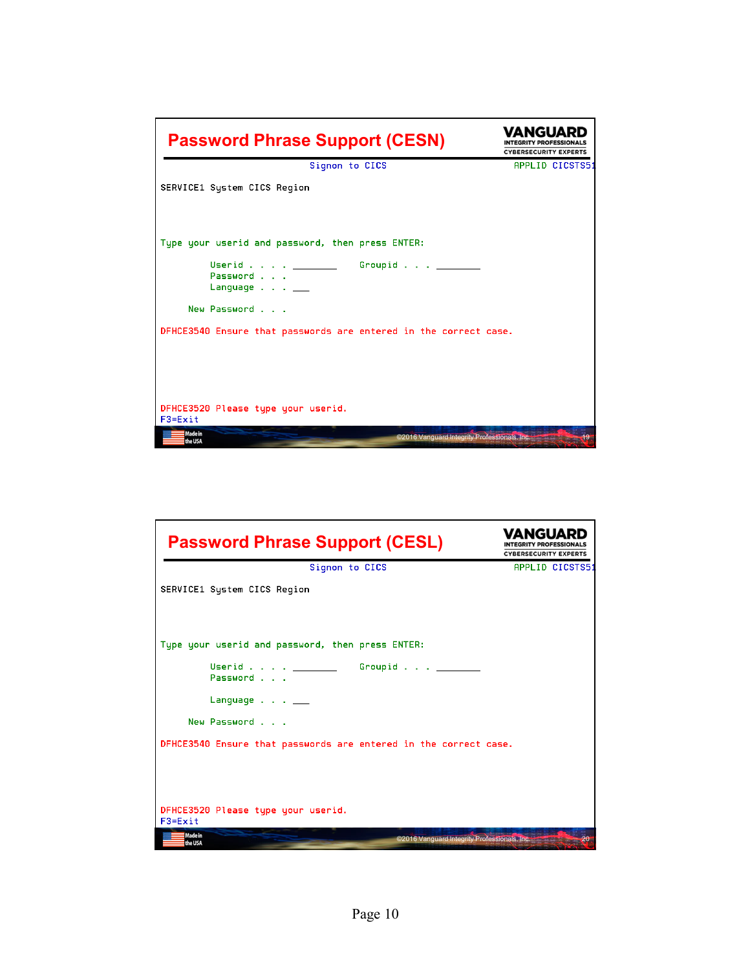| <b>Password Phrase Support (CESN)</b>                                       | ANGUARI<br>EGRITY PROFESSIONALS<br><b>CYBERSECURITY EXPERTS</b> |
|-----------------------------------------------------------------------------|-----------------------------------------------------------------|
| Signon to CICS                                                              | APPLID CICSTS51                                                 |
| SERVICE1 System CICS Region                                                 |                                                                 |
| Type your userid and password, then press ENTER:                            |                                                                 |
| Userid ___________ Groupid ______<br>Password<br>Language $\ldots$ $\ldots$ |                                                                 |
| New Password                                                                |                                                                 |
| DFHCE3540 Ensure that passwords are entered in the correct case.            |                                                                 |
| DFHCE3520 Please type your userid.<br>F3=Exit                               |                                                                 |
| Made in<br>©2016 Vanguard Integrity Professionals, Inc.<br>the USA          | 19                                                              |

| <b>Password Phrase Support (CESL)</b>                                      | <b>CYBERSECURITY EXPERTS</b> |
|----------------------------------------------------------------------------|------------------------------|
| Signon to CICS                                                             | APPLID CICSTS51              |
| SERVICE1 System CICS Region                                                |                              |
| Type your userid and password, then press ENTER:                           |                              |
| Groupid $\_\_$<br>Password                                                 |                              |
| Language $\ldots$ $\ldots$                                                 |                              |
| New Password                                                               |                              |
| DFHCE3540 Ensure that passwords are entered in the correct case.           |                              |
| DFHCE3520 Please type your userid.<br>F3=Exit                              |                              |
| <b>Made in</b><br>©2016 Vanquard Integrity Professionals, Inc.<br>the IISA | 20 <sup>2</sup>              |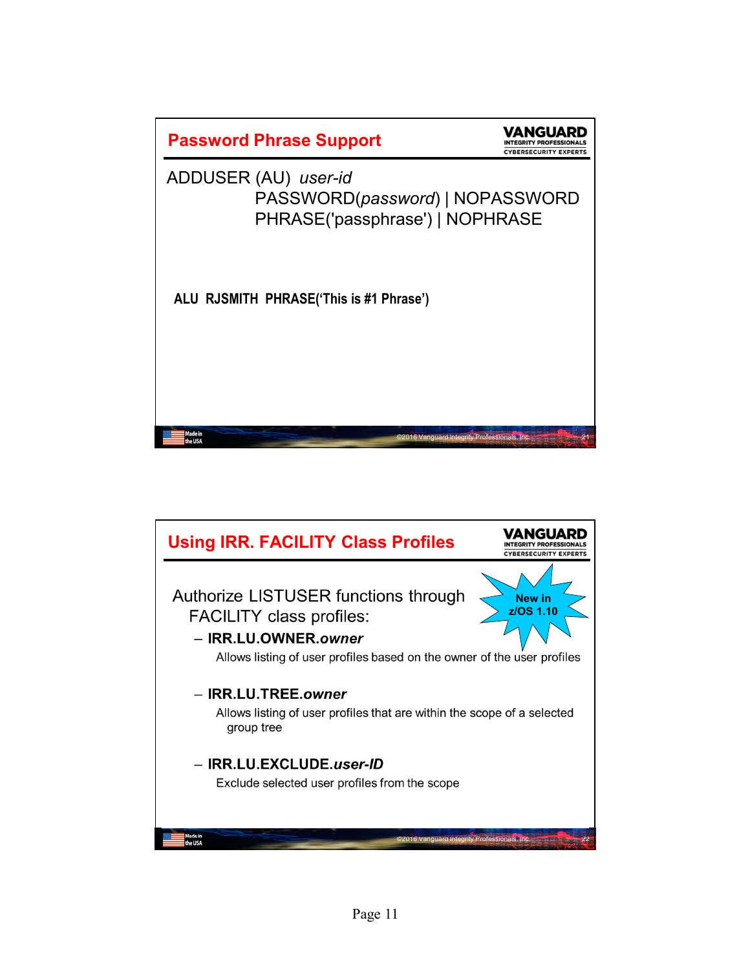

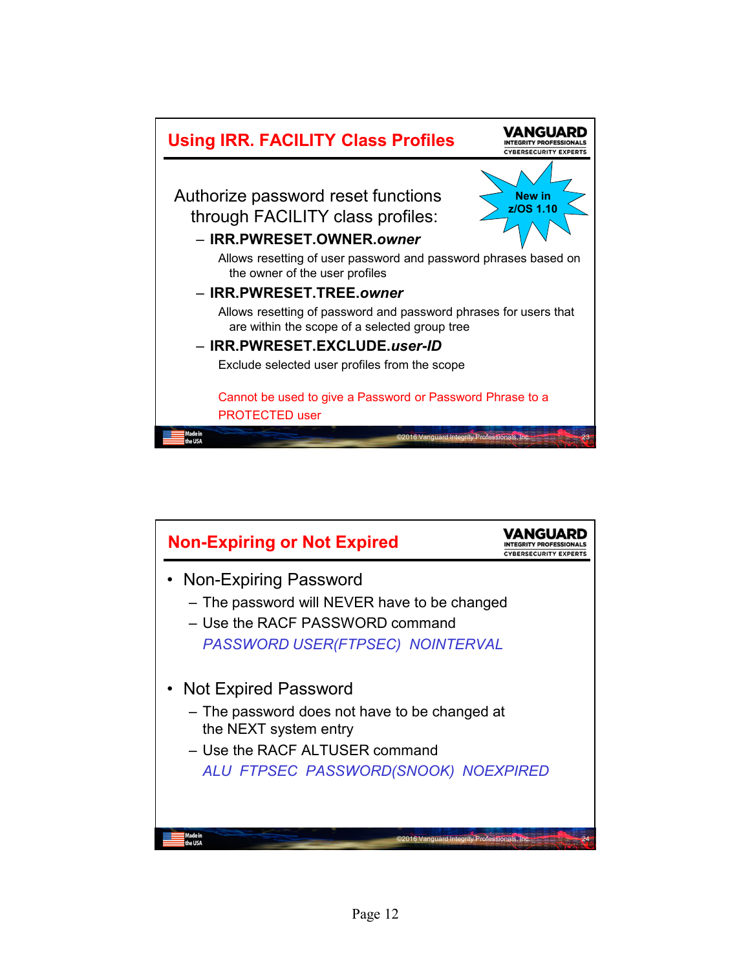

| <b>Non-Expiring or Not Expired</b>                                     | ECURITY EXPE |
|------------------------------------------------------------------------|--------------|
| Non-Expiring Password                                                  |              |
| - The password will NEVER have to be changed                           |              |
| - Use the RACF PASSWORD command                                        |              |
| PASSWORD USER(FTPSEC) NOINTERVAL                                       |              |
| <b>Not Expired Password</b>                                            |              |
| - The password does not have to be changed at<br>the NEXT system entry |              |
| - Use the RACF ALTUSER command                                         |              |
| ALU FTPSEC PASSWORD(SNOOK) NOEXPIRED                                   |              |
|                                                                        |              |
|                                                                        |              |
| ©2016 Vanquard Integrity Professionals, Inc.                           |              |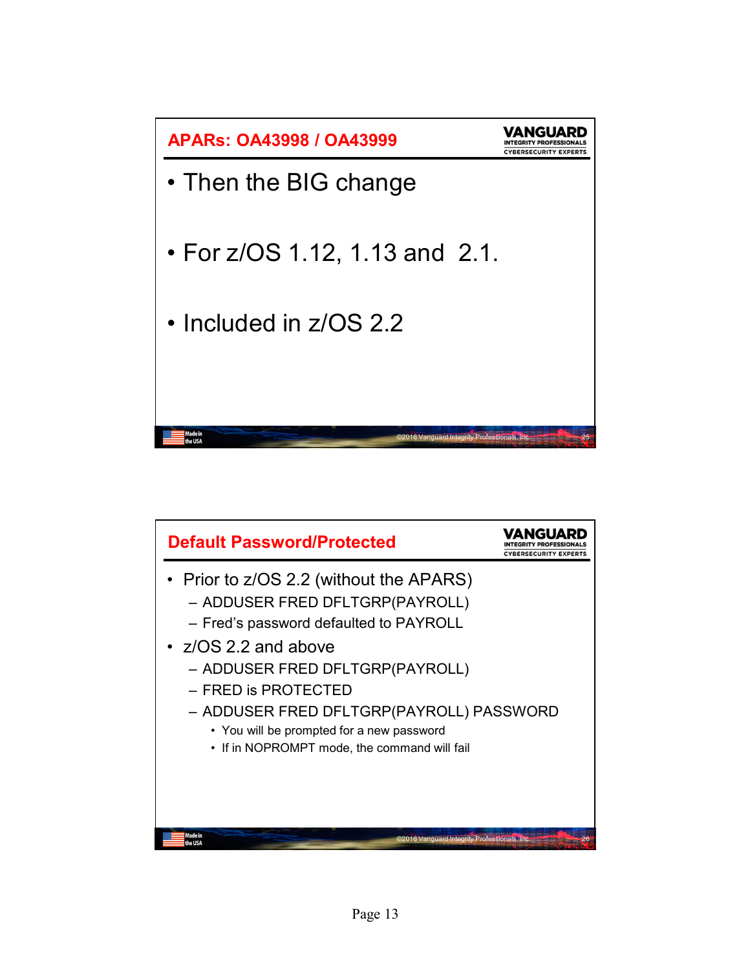

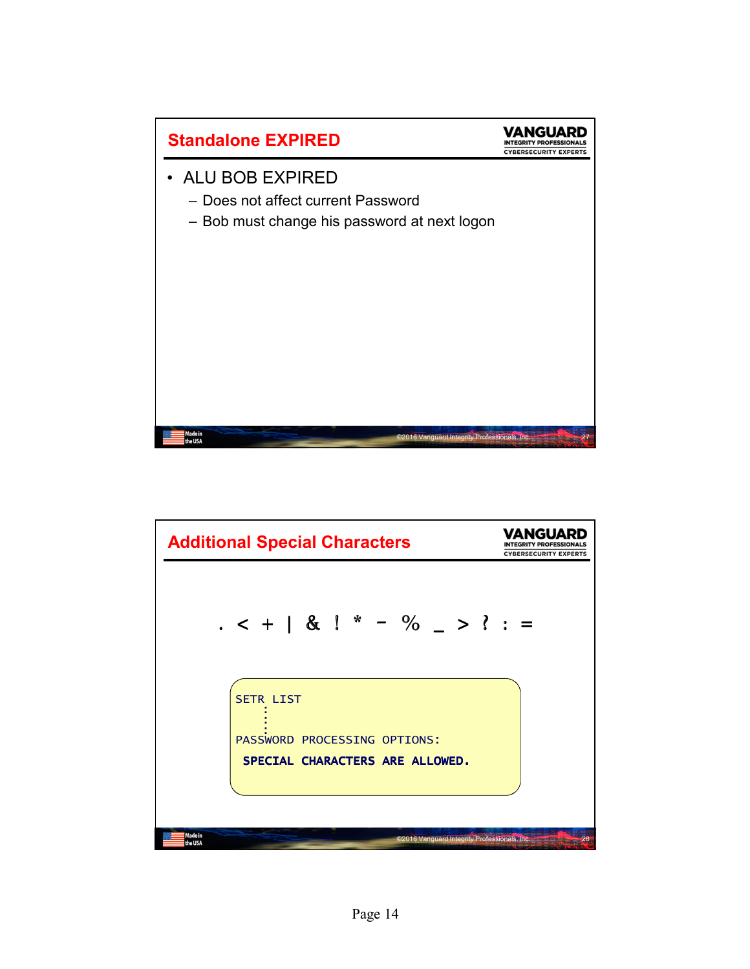

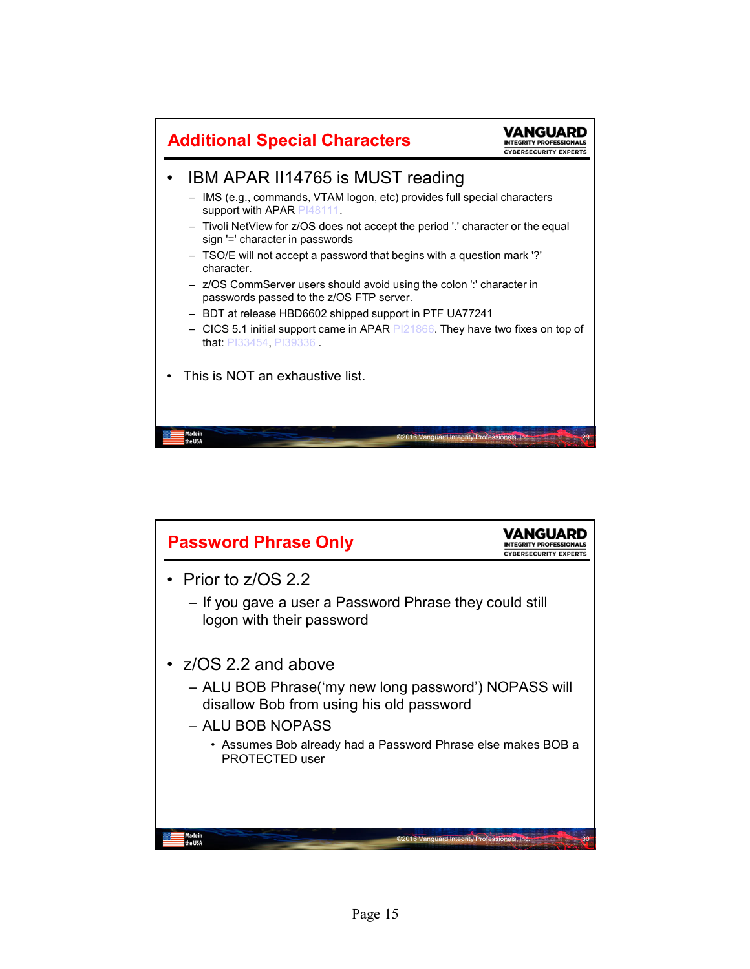

| <b>Password Phrase Only</b>                                                                                                                                                                                                          | YBERSECURITY EXPER |
|--------------------------------------------------------------------------------------------------------------------------------------------------------------------------------------------------------------------------------------|--------------------|
| Prior to z/OS 2.2<br>- If you gave a user a Password Phrase they could still<br>logon with their password                                                                                                                            |                    |
| $\cdot$ z/OS 2.2 and above<br>- ALU BOB Phrase('my new long password') NOPASS will<br>disallow Bob from using his old password<br>- ALU BOB NOPASS<br>• Assumes Bob already had a Password Phrase else makes BOB a<br>PROTECTED user |                    |
| Made in<br>©2016 Vanquard Integrity Professionals, Inc.                                                                                                                                                                              | 30                 |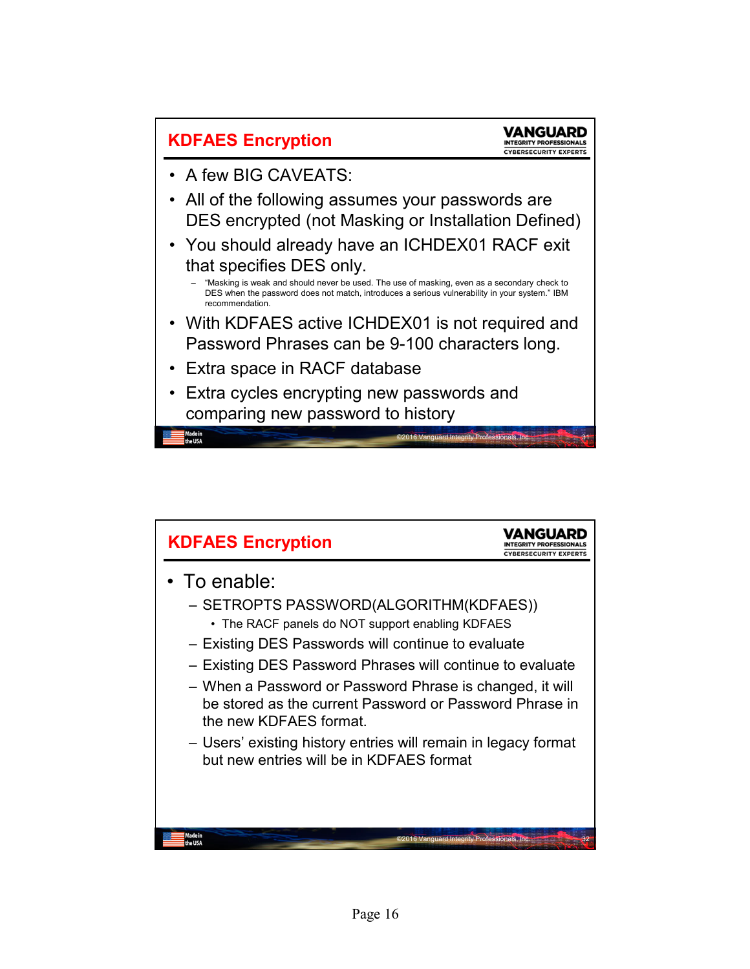

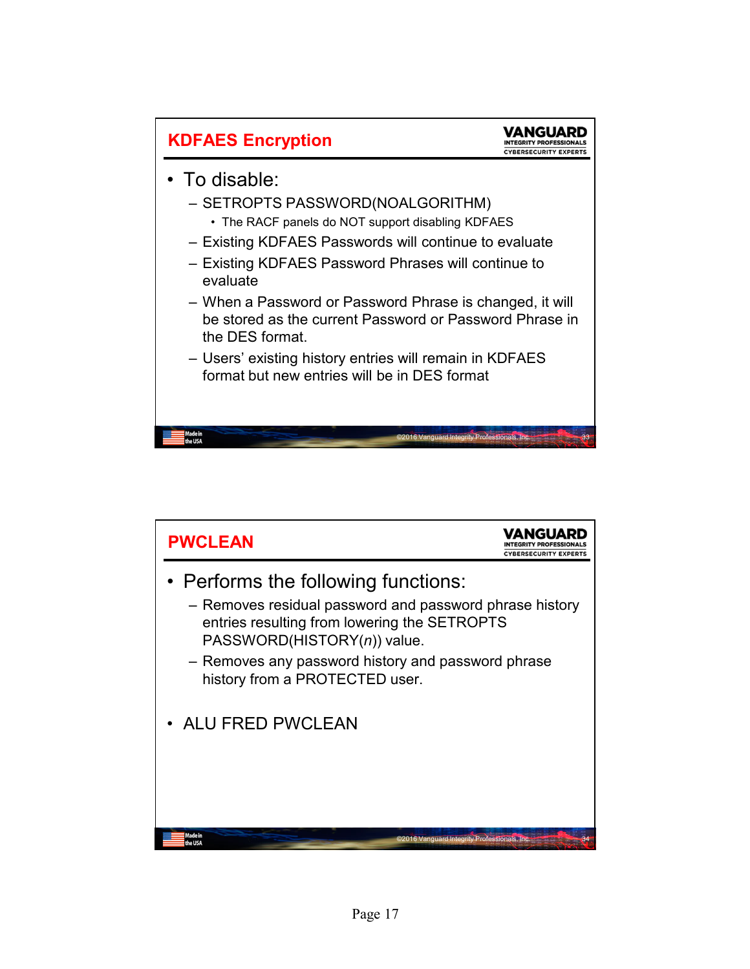